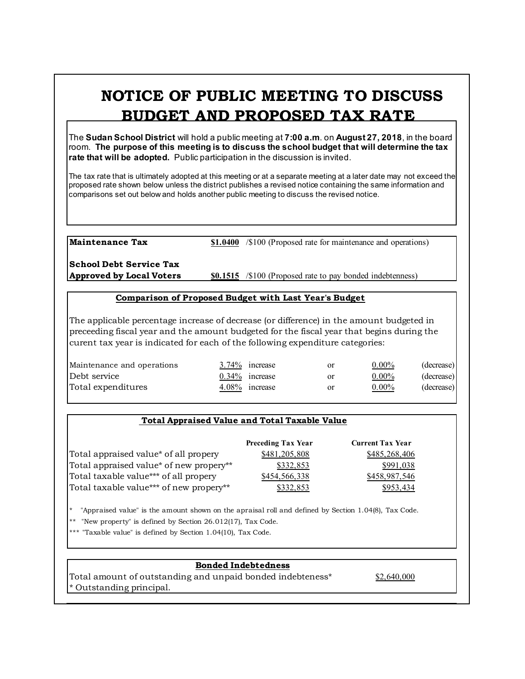# **NOTICE OF PUBLIC MEETING TO DISCUSS BUDGET AND PROPOSED TAX RATE**

The **Sudan School District** will hold a public meeting at **7:00 a.m**. on **August 27, 2018**, in the board room. **The purpose of this meeting is to discuss the school budget that will determine the tax rate that will be adopted.** Public participation in the discussion is invited.

The tax rate that is ultimately adopted at this meeting or at a separate meeting at a later date may not exceed the proposed rate shown below unless the district publishes a revised notice containing the same information and comparisons set out below and holds another public meeting to discuss the revised notice.

**Maintenance Tax \$1.0400** /\$100 (Proposed rate for maintenance and operations)

**School Debt Service Tax**

**Approved by Local Voters \$0.1515** /\$100 (Proposed rate to pay bonded indebtenness)

#### **Comparison of Proposed Budget with Last Year's Budget**

The applicable percentage increase of decrease (or difference) in the amount budgeted in preceeding fiscal year and the amount budgeted for the fiscal year that begins during the curent tax year is indicated for each of the following expenditure categories:

| Maintenance and operations | $3.74\%$ increase | <b>or</b> | $0.00\%$ | (decrease) |
|----------------------------|-------------------|-----------|----------|------------|
| Debt service               | $0.34\%$ increase | or        | $0.00\%$ | (decrease) |
| Total expenditures         | 4.08% increase    | or        | $0.00\%$ | (decrease) |

## **Total Appraised Value and Total Taxable Value**

|                                         | <b>Preceding Tax Year</b> | <b>Current Tax Year</b> |
|-----------------------------------------|---------------------------|-------------------------|
| Total appraised value* of all propery   | \$481,205,808             | \$485,268,406           |
| Total appraised value* of new propery** | \$332,853                 | \$991,038               |
| Total taxable value*** of all propery   | \$454,566,338             | \$458,987,546           |
| Total taxable value*** of new propery** | \$332,853                 | \$953,434               |

\* "Appraised value" is the amount shown on the apraisal roll and defined by Section 1.04(8), Tax Code.

"New property" is defined by Section  $26.012(17)$ , Tax Code.

\*\*\* "Taxable value" is defined by Section 1.04(10), Tax Code.

## **Bonded Indebtedness**

Total amount of outstanding and unpaid bonded indebteness\* \$2,640,000 \* Outstanding principal.